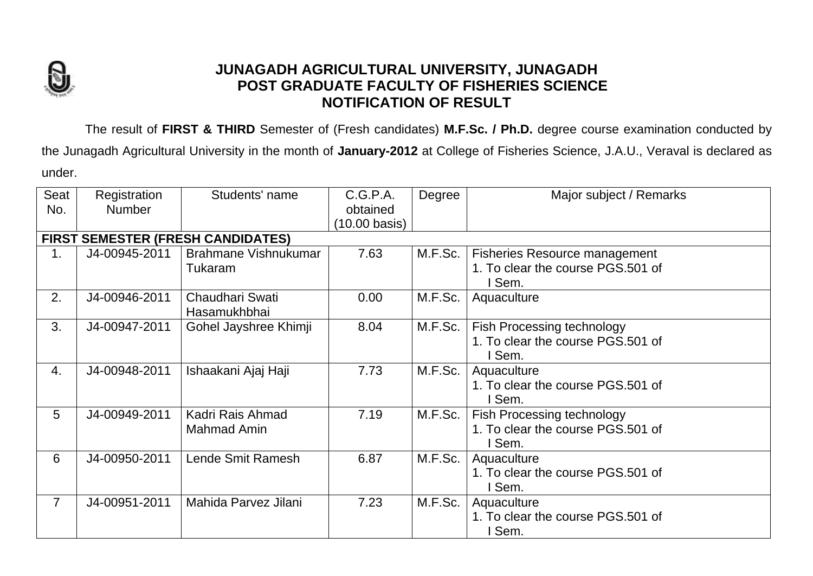

## **JUNAGADH AGRICULTURAL UNIVERSITY, JUNAGADH POST GRADUATE FACULTY OF FISHERIES SCIENCE NOTIFICATION OF RESULT**

The result of **FIRST & THIRD** Semester of (Fresh candidates) **M.F.Sc. / Ph.D.** degree course examination conducted by the Junagadh Agricultural University in the month of **January-2012** at College of Fisheries Science, J.A.U., Veraval is declared as under.

| <b>Seat</b>    | Registration                             | Students' name        | C.G.P.A.                | Degree  | Major subject / Remarks              |  |  |  |
|----------------|------------------------------------------|-----------------------|-------------------------|---------|--------------------------------------|--|--|--|
| No.            | <b>Number</b>                            |                       | obtained                |         |                                      |  |  |  |
|                |                                          |                       | $(10.00 \text{ basis})$ |         |                                      |  |  |  |
|                | <b>FIRST SEMESTER (FRESH CANDIDATES)</b> |                       |                         |         |                                      |  |  |  |
| 1.             | J4-00945-2011                            | Brahmane Vishnukumar  | 7.63                    | M.F.Sc. | <b>Fisheries Resource management</b> |  |  |  |
|                |                                          | Tukaram               |                         |         | 1. To clear the course PGS.501 of    |  |  |  |
|                |                                          |                       |                         |         | Sem.                                 |  |  |  |
| 2.             | J4-00946-2011                            | Chaudhari Swati       | 0.00                    | M.F.Sc. | Aquaculture                          |  |  |  |
|                |                                          | Hasamukhbhai          |                         |         |                                      |  |  |  |
| 3.             | J4-00947-2011                            | Gohel Jayshree Khimji | 8.04                    | M.F.Sc. | Fish Processing technology           |  |  |  |
|                |                                          |                       |                         |         | 1. To clear the course PGS.501 of    |  |  |  |
|                |                                          |                       |                         |         | Sem.                                 |  |  |  |
| 4.             | J4-00948-2011                            | Ishaakani Ajaj Haji   | 7.73                    | M.F.Sc. | Aquaculture                          |  |  |  |
|                |                                          |                       |                         |         | 1. To clear the course PGS.501 of    |  |  |  |
|                |                                          |                       |                         |         | Sem.                                 |  |  |  |
| 5              | J4-00949-2011                            | Kadri Rais Ahmad      | 7.19                    | M.F.Sc. | Fish Processing technology           |  |  |  |
|                |                                          | Mahmad Amin           |                         |         | 1. To clear the course PGS.501 of    |  |  |  |
|                |                                          |                       |                         |         | Sem.                                 |  |  |  |
| 6              | J4-00950-2011                            | Lende Smit Ramesh     | 6.87                    | M.F.Sc. | Aquaculture                          |  |  |  |
|                |                                          |                       |                         |         | 1. To clear the course PGS.501 of    |  |  |  |
|                |                                          |                       |                         |         | Sem.                                 |  |  |  |
| $\overline{7}$ | J4-00951-2011                            | Mahida Parvez Jilani  | 7.23                    | M.F.Sc. | Aquaculture                          |  |  |  |
|                |                                          |                       |                         |         | 1. To clear the course PGS.501 of    |  |  |  |
|                |                                          |                       |                         |         | Sem.                                 |  |  |  |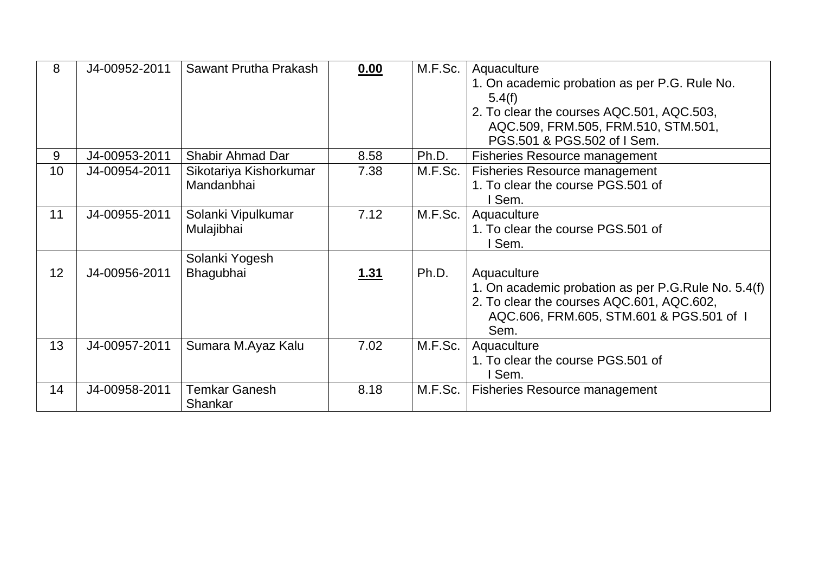| 8  | J4-00952-2011 | Sawant Prutha Prakash   | 0.00 | M.F.Sc. | Aquaculture                                          |
|----|---------------|-------------------------|------|---------|------------------------------------------------------|
|    |               |                         |      |         | 1. On academic probation as per P.G. Rule No.        |
|    |               |                         |      |         | 5.4(f)                                               |
|    |               |                         |      |         | 2. To clear the courses AQC.501, AQC.503,            |
|    |               |                         |      |         | AQC.509, FRM.505, FRM.510, STM.501,                  |
|    |               |                         |      |         | PGS.501 & PGS.502 of I Sem.                          |
| 9  | J4-00953-2011 | <b>Shabir Ahmad Dar</b> | 8.58 | Ph.D.   | <b>Fisheries Resource management</b>                 |
| 10 | J4-00954-2011 | Sikotariya Kishorkumar  | 7.38 | M.F.Sc. | <b>Fisheries Resource management</b>                 |
|    |               | Mandanbhai              |      |         | 1. To clear the course PGS.501 of                    |
|    |               |                         |      |         | Sem.                                                 |
| 11 | J4-00955-2011 | Solanki Vipulkumar      | 7.12 | M.F.Sc. | Aquaculture                                          |
|    |               | Mulajibhai              |      |         | 1. To clear the course PGS.501 of                    |
|    |               |                         |      |         | I Sem.                                               |
|    |               | Solanki Yogesh          |      |         |                                                      |
| 12 | J4-00956-2011 | Bhagubhai               | 1.31 | Ph.D.   | Aquaculture                                          |
|    |               |                         |      |         | 1. On academic probation as per P.G. Rule No. 5.4(f) |
|    |               |                         |      |         | 2. To clear the courses AQC.601, AQC.602,            |
|    |               |                         |      |         | AQC.606, FRM.605, STM.601 & PGS.501 of 1             |
|    |               |                         |      |         | Sem.                                                 |
| 13 | J4-00957-2011 | Sumara M.Ayaz Kalu      | 7.02 | M.F.Sc. | Aquaculture                                          |
|    |               |                         |      |         | 1. To clear the course PGS.501 of                    |
|    |               |                         |      |         | I Sem.                                               |
| 14 | J4-00958-2011 | <b>Temkar Ganesh</b>    | 8.18 | M.F.Sc. | <b>Fisheries Resource management</b>                 |
|    |               | Shankar                 |      |         |                                                      |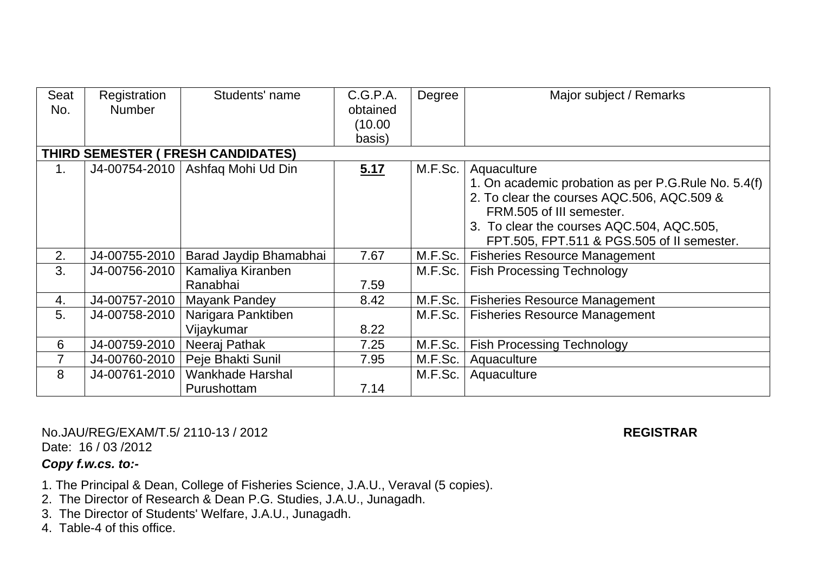| Seat                               | Registration  | Students' name                     | C.G.P.A. | Degree  | Major subject / Remarks                              |  |  |  |
|------------------------------------|---------------|------------------------------------|----------|---------|------------------------------------------------------|--|--|--|
| No.                                | <b>Number</b> |                                    | obtained |         |                                                      |  |  |  |
|                                    |               |                                    | (10.00   |         |                                                      |  |  |  |
|                                    |               |                                    | basis)   |         |                                                      |  |  |  |
| THIRD SEMESTER ( FRESH CANDIDATES) |               |                                    |          |         |                                                      |  |  |  |
| 1 <sub>1</sub>                     |               | J4-00754-2010   Ashfaq Mohi Ud Din | 5.17     | M.F.Sc. | Aquaculture                                          |  |  |  |
|                                    |               |                                    |          |         | 1. On academic probation as per P.G. Rule No. 5.4(f) |  |  |  |
|                                    |               |                                    |          |         | 2. To clear the courses AQC.506, AQC.509 &           |  |  |  |
|                                    |               |                                    |          |         | FRM.505 of III semester.                             |  |  |  |
|                                    |               |                                    |          |         | 3. To clear the courses AQC.504, AQC.505,            |  |  |  |
|                                    |               |                                    |          |         | FPT.505, FPT.511 & PGS.505 of II semester.           |  |  |  |
| 2.                                 | J4-00755-2010 | Barad Jaydip Bhamabhai             | 7.67     | M.F.Sc. | <b>Fisheries Resource Management</b>                 |  |  |  |
| 3.                                 | J4-00756-2010 | Kamaliya Kiranben                  |          | M.F.Sc. | <b>Fish Processing Technology</b>                    |  |  |  |
|                                    |               | Ranabhai                           | 7.59     |         |                                                      |  |  |  |
| 4.                                 |               | J4-00757-2010   Mayank Pandey      | 8.42     | M.F.Sc. | <b>Fisheries Resource Management</b>                 |  |  |  |
| 5.                                 | J4-00758-2010 | Narigara Panktiben                 |          | M.F.Sc. | <b>Fisheries Resource Management</b>                 |  |  |  |
|                                    |               | Vijaykumar                         | 8.22     |         |                                                      |  |  |  |
| 6                                  | J4-00759-2010 | Neeraj Pathak                      | 7.25     | M.F.Sc. | <b>Fish Processing Technology</b>                    |  |  |  |
| $\overline{7}$                     | J4-00760-2010 | Peje Bhakti Sunil                  | 7.95     | M.F.Sc. | Aquaculture                                          |  |  |  |
| 8                                  | J4-00761-2010 | <b>Wankhade Harshal</b>            |          | M.F.Sc. | Aquaculture                                          |  |  |  |
|                                    |               | Purushottam                        | 7.14     |         |                                                      |  |  |  |

No.JAU/REG/EXAM/T.5/ 2110-13 / 2012 **REGISTRAR** Date: 16 / 03 /2012

## *Copy f.w.cs. to:-*

- 1. The Principal & Dean, College of Fisheries Science, J.A.U., Veraval (5 copies).
- 2. The Director of Research & Dean P.G. Studies, J.A.U., Junagadh.
- 3. The Director of Students' Welfare, J.A.U., Junagadh.
- 4. Table-4 of this office.